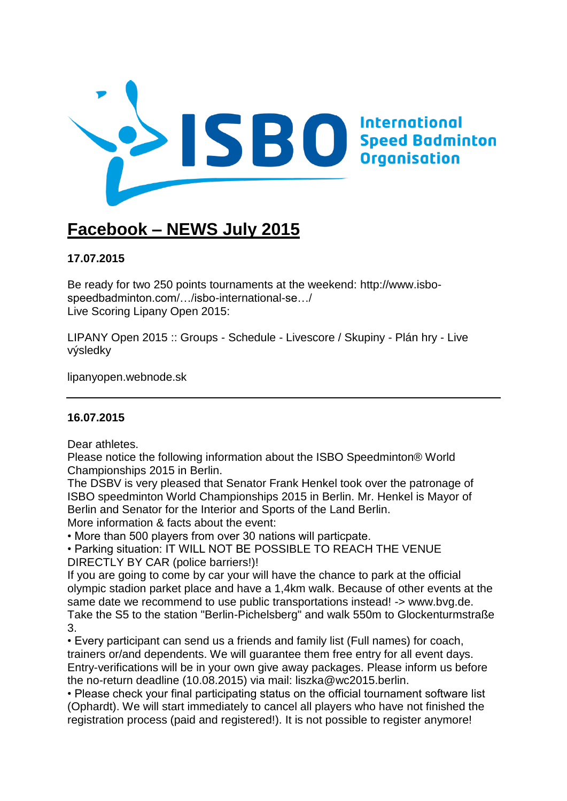

# **Facebook – NEWS July 2015**

# **17.07.2015**

Be ready for two 250 points tournaments at the weekend: [http://www.isbo](http://www.isbo-speedbadminton.com/sport/isbo-international-series/)[speedbadminton.com/…/isbo-international-se…/](http://www.isbo-speedbadminton.com/sport/isbo-international-series/) Live Scoring Lipany Open 2015:

[LIPANY Open 2015 :: Groups -](http://l.facebook.com/l.php?u=http%3A%2F%2Flipanyopen.webnode.sk%2Flive%2Flivescore%2F&h=zAQEiMBR5&s=1) Schedule - Livescore / Skupiny - Plán hry - Live [výsledky](http://l.facebook.com/l.php?u=http%3A%2F%2Flipanyopen.webnode.sk%2Flive%2Flivescore%2F&h=zAQEiMBR5&s=1)

lipanyopen.webnode.sk

### **16.07.2015**

Dear athletes.

Please notice the following information about the ISBO Speedminton® World Championships 2015 in Berlin.

The DSBV is very pleased that Senator Frank Henkel took over the patronage of ISBO speedminton World Championships 2015 in Berlin. Mr. Henkel is Mayor of Berlin and Senator for the Interior and Sports of the Land Berlin.

More information & facts about the event:

• More than 500 players from over 30 nations will particpate.

• Parking situation: IT WILL NOT BE POSSIBLE TO REACH THE VENUE DIRECTLY BY CAR (police barriers!)!

If you are going to come by car your will have the chance to park at the official olympic stadion parket place and have a 1,4km walk. Because of other events at the same date we recommend to use public transportations instead! -> [www.bvg.de.](http://l.facebook.com/l.php?u=http%3A%2F%2Fwww.bvg.de%2F&h=KAQFP6dUyAQFfJkW96_oWPEK8RQc-BqKjQ4DMnljQUE2luQ&enc=AZPM6GwFkRr6EXNumyje1SIMlGVE6nnVdkKaEHTLsGsJYPr704mqRc6hGT6b3Dq98q0h3ahBVjZMrN1_sp4SZo55R49LkEOObJxiEAhEK9HgF2m_CJ5XXw__vI5TBeQ0_oQ3C-KwERgieW4z5wy-uyNnK3zwwjnUovTA8auhRkjfpr28FMnwhQQlvF6fpOivpMTgeolklbUdGSXrbraANhny&s=1) Take the S5 to the station "Berlin-Pichelsberg" and walk 550m to Glockenturmstraße 3.

• Every participant can send us a friends and family list (Full names) for coach, trainers or/and dependents. We will guarantee them free entry for all event days. Entry-verifications will be in your own give away packages. Please inform us before the no-return deadline (10.08.2015) via mail: liszka@wc2015.berlin.

• Please check your final participating status on the official tournament software list (Ophardt). We will start immediately to cancel all players who have not finished the registration process (paid and registered!). It is not possible to register anymore!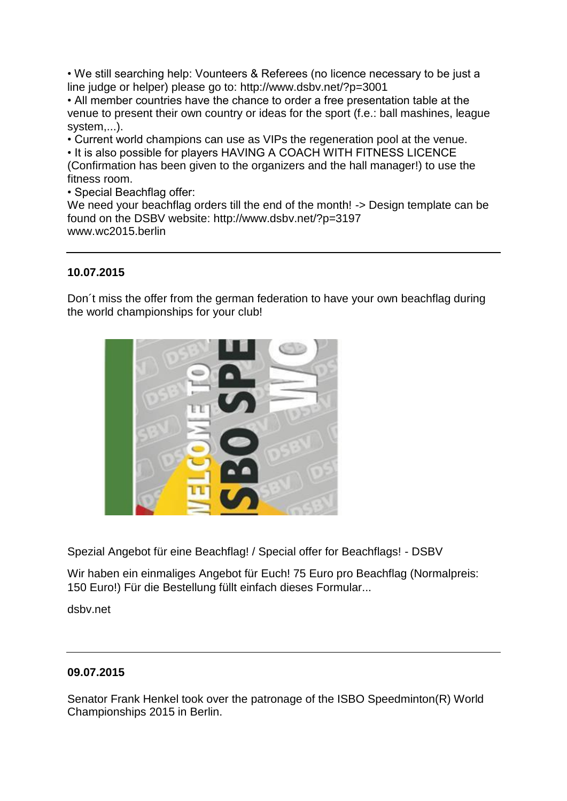• We still searching help: Vounteers & Referees (no licence necessary to be just a line judge or helper) please go to: [http://www.dsbv.net/?p=3001](http://l.facebook.com/l.php?u=http%3A%2F%2Fwww.dsbv.net%2F%3Fp%3D3001&h=8AQE-XrJ8AQGRwtGYgLt1bKAMZSw5LmHnx26WpGse1StqLQ&enc=AZOahZXn3r19qNLIPEAm7xR90Ud4IaUO_cBP0_Q8xmUmkYu-6KijZLNnd0M1VMtOLktNMQFvfr8eYlmCmHp-DNFkKD9fl6HMUfBi4bfQ2wRJcHWF5cq-roiLqRz5qNwZjR02FVW9d0Q2ysI-R888svTJJJvAHKrRKIFQ3oM8yAN7FCNqvCOc8zMBobFZkf9gcs8wKinuIdbr36VyHR6tw3KB&s=1)

• All member countries have the chance to order a free presentation table at the venue to present their own country or ideas for the sport (f.e.: ball mashines, league system,...).

• Current world champions can use as VIPs the regeneration pool at the venue.

• It is also possible for players HAVING A COACH WITH FITNESS LICENCE (Confirmation has been given to the organizers and the hall manager!) to use the fitness room.

• Special Beachflag offer:

We need your beachflag orders till the end of the month! -> Design template can be found on the DSBV website: [http://www.dsbv.net/?p=3197](http://l.facebook.com/l.php?u=http%3A%2F%2Fwww.dsbv.net%2F%3Fp%3D3197&h=dAQHdVBn-AQFkXGutZaOmUhauUEnb9TkYMIp26u4NFYmjmw&enc=AZO8CEOtvYolyVSjyi-LzdIZFUo0dRaYNW8RKgUT1uZSVUdTTZKRZy8kxifiQas2Q4X-s4Nh1AAvtFgIVXNhlZzBoe4QX5UzoE2G6Re0MQZxjp8RuM1T57Uy_9PbVt51Z4l18WlXHUaURVlER7Dzklpi6jDiL5YyZWhp3ALgLVC6YscOoeeBzUFeO6fV2teMC809ZnOMrxNCAU_5JqAnzCEY&s=1) [www.wc2015.berlin](http://l.facebook.com/l.php?u=http%3A%2F%2Fwww.wc2015.berlin%2F&h=qAQGtpDNVAQElPrOEofpYfpKYnCBG7nziopZ1R_e05ZAOgw&enc=AZMKvKYfi_AMGFxPqg4W_-WmjjmUPQ3PEBTvDDjdFyxKdyPwyGIASQHqwO-X0sjFa9gU8QAnCrhc4pPmhUDNKRln32oGUFwmRimGZikzuhzbX1x3RzBu_POaUz4u4AXYT0lRdzV4gfwnvuQn46LkryCddN2UoA9E2gDAYUdAMqZgeb0uRywX6xdUufe9mLgCJ4OgocOgMBs_bqEoLY7XpXnb&s=1)

# **10.07.2015**

Don´t miss the offer from the german federation to have your own beachflag during [the world championships for your club!](http://www.dsbv.net/?p=3197)



[Spezial Angebot für eine Beachflag! / Special offer for Beachflags! -](http://l.facebook.com/l.php?u=http%3A%2F%2Fwww.dsbv.net%2F%3Fp%3D3197&h=YAQFuN7tk&s=1) DSBV

Wir haben ein einmaliges Angebot für Euch! 75 Euro pro Beachflag (Normalpreis: 150 Euro!) Für die Bestellung füllt einfach dieses Formular...

dsbv.net

### **09.07.2015**

Senator Frank Henkel took over the patronage of the ISBO Speedminton(R) World Championships 2015 in Berlin.